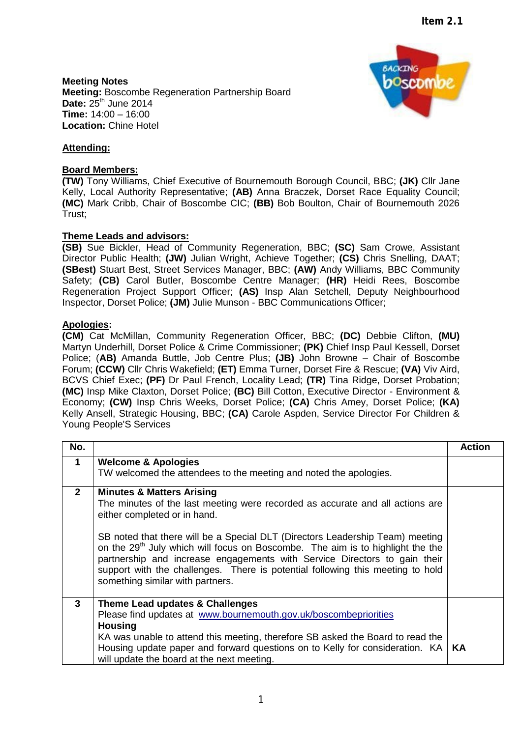**BACKTNG** 

poscomia

**Meeting Notes Meeting:** Boscombe Regeneration Partnership Board **Date: 25<sup>th</sup> June 2014 Time:** 14:00 – 16:00 **Location:** Chine Hotel



## **Board Members:**

**(TW)** Tony Williams, Chief Executive of Bournemouth Borough Council, BBC; **(JK)** Cllr Jane Kelly, Local Authority Representative; **(AB)** Anna Braczek, Dorset Race Equality Council; **(MC)** Mark Cribb, Chair of Boscombe CIC; **(BB)** Bob Boulton, Chair of Bournemouth 2026 Trust;

## **Theme Leads and advisors:**

**(SB)** Sue Bickler, Head of Community Regeneration, BBC; **(SC)** Sam Crowe, Assistant Director Public Health; **(JW)** Julian Wright, Achieve Together; **(CS)** Chris Snelling, DAAT; **(SBest)** Stuart Best, Street Services Manager, BBC; **(AW)** Andy Williams, BBC Community Safety; **(CB)** Carol Butler, Boscombe Centre Manager; **(HR)** Heidi Rees, Boscombe Regeneration Project Support Officer; **(AS)** Insp Alan Setchell, Deputy Neighbourhood Inspector, Dorset Police; **(JM)** Julie Munson - BBC Communications Officer;

## **Apologies:**

**(CM)** Cat McMillan, Community Regeneration Officer, BBC; **(DC)** Debbie Clifton, **(MU)** Martyn Underhill, Dorset Police & Crime Commissioner; **(PK)** Chief Insp Paul Kessell, Dorset Police; (**AB)** Amanda Buttle, Job Centre Plus; **(JB)** John Browne – Chair of Boscombe Forum; **(CCW)** Cllr Chris Wakefield; **(ET)** Emma Turner, Dorset Fire & Rescue; **(VA)** Viv Aird, BCVS Chief Exec; **(PF)** Dr Paul French, Locality Lead; **(TR)** Tina Ridge, Dorset Probation; **(MC)** Insp Mike Claxton, Dorset Police; **(BC)** Bill Cotton, Executive Director - Environment & Economy; **(CW)** Insp Chris Weeks, Dorset Police; **(CA)** Chris Amey, Dorset Police; **(KA)** Kelly Ansell, Strategic Housing, BBC; **(CA)** Carole Aspden, Service Director For Children & Young People'S Services

| No.            |                                                                                                                                                                                                                                                                                                                                                                                                                                                                                                                                         | <b>Action</b> |
|----------------|-----------------------------------------------------------------------------------------------------------------------------------------------------------------------------------------------------------------------------------------------------------------------------------------------------------------------------------------------------------------------------------------------------------------------------------------------------------------------------------------------------------------------------------------|---------------|
| $\mathbf 1$    | <b>Welcome &amp; Apologies</b><br>TW welcomed the attendees to the meeting and noted the apologies.                                                                                                                                                                                                                                                                                                                                                                                                                                     |               |
| $\overline{2}$ | <b>Minutes &amp; Matters Arising</b><br>The minutes of the last meeting were recorded as accurate and all actions are<br>either completed or in hand.<br>SB noted that there will be a Special DLT (Directors Leadership Team) meeting<br>on the 29 <sup>th</sup> July which will focus on Boscombe. The aim is to highlight the the<br>partnership and increase engagements with Service Directors to gain their<br>support with the challenges. There is potential following this meeting to hold<br>something similar with partners. |               |
| 3              | Theme Lead updates & Challenges<br>Please find updates at www.bournemouth.gov.uk/boscombepriorities<br><b>Housing</b><br>KA was unable to attend this meeting, therefore SB asked the Board to read the<br>Housing update paper and forward questions on to Kelly for consideration. KA<br>will update the board at the next meeting.                                                                                                                                                                                                   | KA            |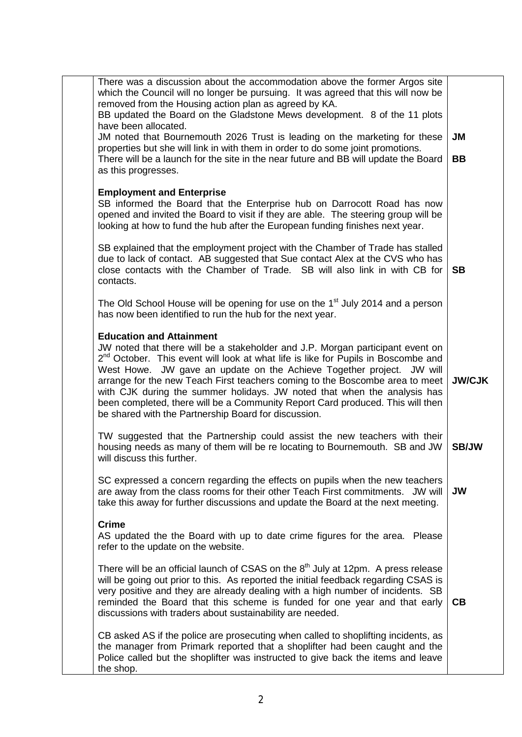| There was a discussion about the accommodation above the former Argos site<br>which the Council will no longer be pursuing. It was agreed that this will now be<br>removed from the Housing action plan as agreed by KA.<br>BB updated the Board on the Gladstone Mews development. 8 of the 11 plots<br>have been allocated.<br>JM noted that Bournemouth 2026 Trust is leading on the marketing for these<br>properties but she will link in with them in order to do some joint promotions.<br>There will be a launch for the site in the near future and BB will update the Board<br>as this progresses. | <b>JM</b><br><b>BB</b> |
|--------------------------------------------------------------------------------------------------------------------------------------------------------------------------------------------------------------------------------------------------------------------------------------------------------------------------------------------------------------------------------------------------------------------------------------------------------------------------------------------------------------------------------------------------------------------------------------------------------------|------------------------|
| <b>Employment and Enterprise</b><br>SB informed the Board that the Enterprise hub on Darrocott Road has now<br>opened and invited the Board to visit if they are able. The steering group will be<br>looking at how to fund the hub after the European funding finishes next year.                                                                                                                                                                                                                                                                                                                           |                        |
| SB explained that the employment project with the Chamber of Trade has stalled<br>due to lack of contact. AB suggested that Sue contact Alex at the CVS who has<br>close contacts with the Chamber of Trade. SB will also link in with CB for<br>contacts.                                                                                                                                                                                                                                                                                                                                                   | <b>SB</b>              |
| The Old School House will be opening for use on the 1 <sup>st</sup> July 2014 and a person<br>has now been identified to run the hub for the next year.                                                                                                                                                                                                                                                                                                                                                                                                                                                      |                        |
| <b>Education and Attainment</b><br>JW noted that there will be a stakeholder and J.P. Morgan participant event on<br>$2^{nd}$ October. This event will look at what life is like for Pupils in Boscombe and<br>West Howe. JW gave an update on the Achieve Together project. JW will<br>arrange for the new Teach First teachers coming to the Boscombe area to meet<br>with CJK during the summer holidays. JW noted that when the analysis has<br>been completed, there will be a Community Report Card produced. This will then<br>be shared with the Partnership Board for discussion.                   | <b>JW/CJK</b>          |
| TW suggested that the Partnership could assist the new teachers with their<br>housing needs as many of them will be re locating to Bournemouth. SB and JW<br>will discuss this further.                                                                                                                                                                                                                                                                                                                                                                                                                      | <b>SB/JW</b>           |
| SC expressed a concern regarding the effects on pupils when the new teachers<br>are away from the class rooms for their other Teach First commitments. JW will<br>take this away for further discussions and update the Board at the next meeting.                                                                                                                                                                                                                                                                                                                                                           | <b>JW</b>              |
| <b>Crime</b><br>AS updated the the Board with up to date crime figures for the area. Please<br>refer to the update on the website.                                                                                                                                                                                                                                                                                                                                                                                                                                                                           |                        |
| There will be an official launch of CSAS on the $8th$ July at 12pm. A press release<br>will be going out prior to this. As reported the initial feedback regarding CSAS is<br>very positive and they are already dealing with a high number of incidents. SB<br>reminded the Board that this scheme is funded for one year and that early<br>discussions with traders about sustainability are needed.                                                                                                                                                                                                       | CВ                     |
| CB asked AS if the police are prosecuting when called to shoplifting incidents, as<br>the manager from Primark reported that a shoplifter had been caught and the<br>Police called but the shoplifter was instructed to give back the items and leave<br>the shop.                                                                                                                                                                                                                                                                                                                                           |                        |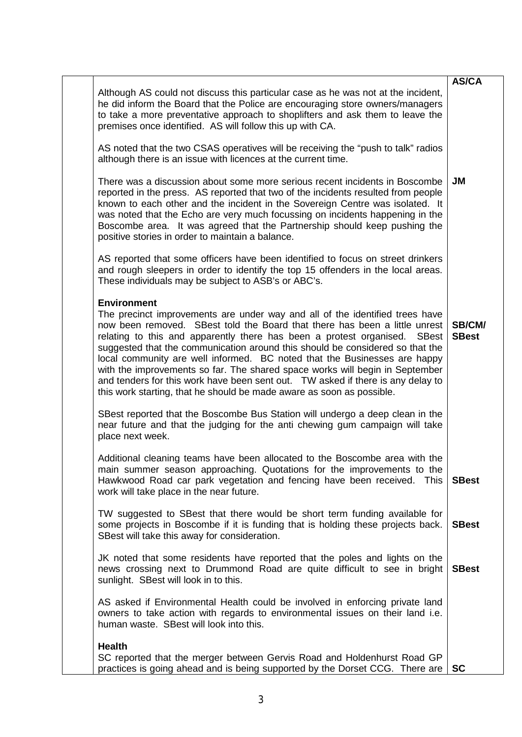|                                                                                                                                                                                                                                                                                                                                                                                                                                                                                                                                                                                                                                                                         | <b>AS/CA</b>           |
|-------------------------------------------------------------------------------------------------------------------------------------------------------------------------------------------------------------------------------------------------------------------------------------------------------------------------------------------------------------------------------------------------------------------------------------------------------------------------------------------------------------------------------------------------------------------------------------------------------------------------------------------------------------------------|------------------------|
| Although AS could not discuss this particular case as he was not at the incident,<br>he did inform the Board that the Police are encouraging store owners/managers<br>to take a more preventative approach to shoplifters and ask them to leave the<br>premises once identified. AS will follow this up with CA.                                                                                                                                                                                                                                                                                                                                                        |                        |
| AS noted that the two CSAS operatives will be receiving the "push to talk" radios<br>although there is an issue with licences at the current time.                                                                                                                                                                                                                                                                                                                                                                                                                                                                                                                      |                        |
| There was a discussion about some more serious recent incidents in Boscombe<br>reported in the press. AS reported that two of the incidents resulted from people<br>known to each other and the incident in the Sovereign Centre was isolated. It<br>was noted that the Echo are very much focussing on incidents happening in the<br>Boscombe area. It was agreed that the Partnership should keep pushing the<br>positive stories in order to maintain a balance.                                                                                                                                                                                                     | <b>JM</b>              |
| AS reported that some officers have been identified to focus on street drinkers<br>and rough sleepers in order to identify the top 15 offenders in the local areas.<br>These individuals may be subject to ASB's or ABC's.                                                                                                                                                                                                                                                                                                                                                                                                                                              |                        |
| <b>Environment</b><br>The precinct improvements are under way and all of the identified trees have<br>now been removed. SBest told the Board that there has been a little unrest<br>relating to this and apparently there has been a protest organised. SBest<br>suggested that the communication around this should be considered so that the<br>local community are well informed. BC noted that the Businesses are happy<br>with the improvements so far. The shared space works will begin in September<br>and tenders for this work have been sent out. TW asked if there is any delay to<br>this work starting, that he should be made aware as soon as possible. | SB/CM/<br><b>SBest</b> |
| SBest reported that the Boscombe Bus Station will undergo a deep clean in the<br>near future and that the judging for the anti chewing gum campaign will take<br>place next week.                                                                                                                                                                                                                                                                                                                                                                                                                                                                                       |                        |
| Additional cleaning teams have been allocated to the Boscombe area with the<br>main summer season approaching. Quotations for the improvements to the<br>Hawkwood Road car park vegetation and fencing have been received. This<br>work will take place in the near future.                                                                                                                                                                                                                                                                                                                                                                                             | <b>SBest</b>           |
| TW suggested to SBest that there would be short term funding available for<br>some projects in Boscombe if it is funding that is holding these projects back.<br>SBest will take this away for consideration.                                                                                                                                                                                                                                                                                                                                                                                                                                                           | <b>SBest</b>           |
| JK noted that some residents have reported that the poles and lights on the<br>news crossing next to Drummond Road are quite difficult to see in bright<br>sunlight. SBest will look in to this.                                                                                                                                                                                                                                                                                                                                                                                                                                                                        | <b>SBest</b>           |
| AS asked if Environmental Health could be involved in enforcing private land<br>owners to take action with regards to environmental issues on their land i.e.<br>human waste. SBest will look into this.                                                                                                                                                                                                                                                                                                                                                                                                                                                                |                        |
| <b>Health</b>                                                                                                                                                                                                                                                                                                                                                                                                                                                                                                                                                                                                                                                           |                        |
| SC reported that the merger between Gervis Road and Holdenhurst Road GP<br>practices is going ahead and is being supported by the Dorset CCG. There are                                                                                                                                                                                                                                                                                                                                                                                                                                                                                                                 | <b>SC</b>              |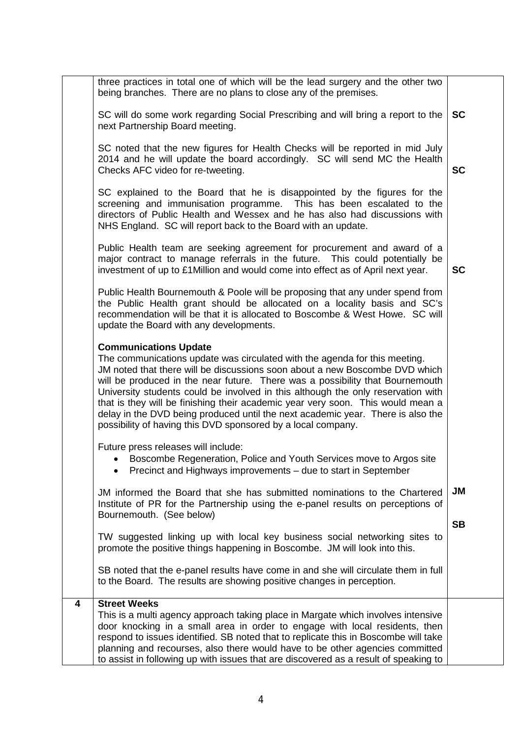|   | three practices in total one of which will be the lead surgery and the other two<br>being branches. There are no plans to close any of the premises.                                                                                                                                                                                                                                                                                                                                                                                                                                                 |           |
|---|------------------------------------------------------------------------------------------------------------------------------------------------------------------------------------------------------------------------------------------------------------------------------------------------------------------------------------------------------------------------------------------------------------------------------------------------------------------------------------------------------------------------------------------------------------------------------------------------------|-----------|
|   | SC will do some work regarding Social Prescribing and will bring a report to the<br>next Partnership Board meeting.                                                                                                                                                                                                                                                                                                                                                                                                                                                                                  | <b>SC</b> |
|   | SC noted that the new figures for Health Checks will be reported in mid July<br>2014 and he will update the board accordingly. SC will send MC the Health<br>Checks AFC video for re-tweeting.                                                                                                                                                                                                                                                                                                                                                                                                       | <b>SC</b> |
|   | SC explained to the Board that he is disappointed by the figures for the<br>screening and immunisation programme. This has been escalated to the<br>directors of Public Health and Wessex and he has also had discussions with<br>NHS England. SC will report back to the Board with an update.                                                                                                                                                                                                                                                                                                      |           |
|   | Public Health team are seeking agreement for procurement and award of a<br>major contract to manage referrals in the future. This could potentially be<br>investment of up to £1Million and would come into effect as of April next year.                                                                                                                                                                                                                                                                                                                                                            | <b>SC</b> |
|   | Public Health Bournemouth & Poole will be proposing that any under spend from<br>the Public Health grant should be allocated on a locality basis and SC's<br>recommendation will be that it is allocated to Boscombe & West Howe. SC will<br>update the Board with any developments.                                                                                                                                                                                                                                                                                                                 |           |
|   | <b>Communications Update</b><br>The communications update was circulated with the agenda for this meeting.<br>JM noted that there will be discussions soon about a new Boscombe DVD which<br>will be produced in the near future. There was a possibility that Bournemouth<br>University students could be involved in this although the only reservation with<br>that is they will be finishing their academic year very soon. This would mean a<br>delay in the DVD being produced until the next academic year. There is also the<br>possibility of having this DVD sponsored by a local company. |           |
|   | Future press releases will include:<br>Boscombe Regeneration, Police and Youth Services move to Argos site<br>Precinct and Highways improvements – due to start in September                                                                                                                                                                                                                                                                                                                                                                                                                         |           |
|   | JM informed the Board that she has submitted nominations to the Chartered<br>Institute of PR for the Partnership using the e-panel results on perceptions of<br>Bournemouth. (See below)                                                                                                                                                                                                                                                                                                                                                                                                             | <b>JM</b> |
|   | TW suggested linking up with local key business social networking sites to<br>promote the positive things happening in Boscombe. JM will look into this.                                                                                                                                                                                                                                                                                                                                                                                                                                             | <b>SB</b> |
|   | SB noted that the e-panel results have come in and she will circulate them in full<br>to the Board. The results are showing positive changes in perception.                                                                                                                                                                                                                                                                                                                                                                                                                                          |           |
| 4 | <b>Street Weeks</b><br>This is a multi agency approach taking place in Margate which involves intensive<br>door knocking in a small area in order to engage with local residents, then<br>respond to issues identified. SB noted that to replicate this in Boscombe will take<br>planning and recourses, also there would have to be other agencies committed<br>to assist in following up with issues that are discovered as a result of speaking to                                                                                                                                                |           |